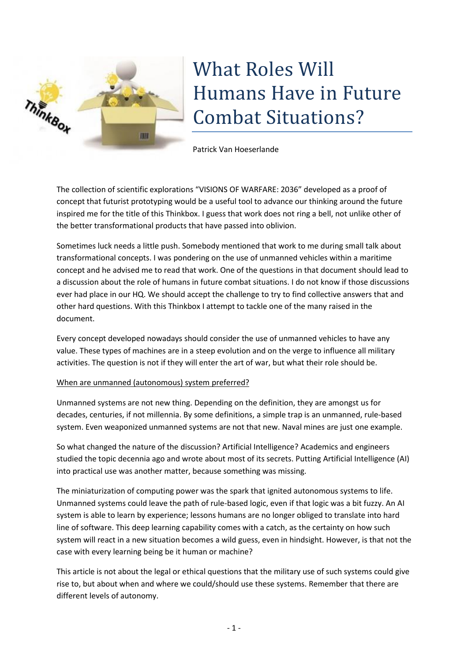

## What Roles Will Humans Have in Future Combat Situations?

Patrick Van Hoeserlande

The collection of scientific explorations "VISIONS OF WARFARE: 2036" developed as a proof of concept that futurist prototyping would be a useful tool to advance our thinking around the future inspired me for the title of this Thinkbox. I guess that work does not ring a bell, not unlike other of the better transformational products that have passed into oblivion.

Sometimes luck needs a little push. Somebody mentioned that work to me during small talk about transformational concepts. I was pondering on the use of unmanned vehicles within a maritime concept and he advised me to read that work. One of the questions in that document should lead to a discussion about the role of humans in future combat situations. I do not know if those discussions ever had place in our HQ. We should accept the challenge to try to find collective answers that and other hard questions. With this Thinkbox I attempt to tackle one of the many raised in the document.

Every concept developed nowadays should consider the use of unmanned vehicles to have any value. These types of machines are in a steep evolution and on the verge to influence all military activities. The question is not if they will enter the art of war, but what their role should be.

## When are unmanned (autonomous) system preferred?

Unmanned systems are not new thing. Depending on the definition, they are amongst us for decades, centuries, if not millennia. By some definitions, a simple trap is an unmanned, rule-based system. Even weaponized unmanned systems are not that new. Naval mines are just one example.

So what changed the nature of the discussion? Artificial Intelligence? Academics and engineers studied the topic decennia ago and wrote about most of its secrets. Putting Artificial Intelligence (AI) into practical use was another matter, because something was missing.

The miniaturization of computing power was the spark that ignited autonomous systems to life. Unmanned systems could leave the path of rule-based logic, even if that logic was a bit fuzzy. An AI system is able to learn by experience; lessons humans are no longer obliged to translate into hard line of software. This deep learning capability comes with a catch, as the certainty on how such system will react in a new situation becomes a wild guess, even in hindsight. However, is that not the case with every learning being be it human or machine?

This article is not about the legal or ethical questions that the military use of such systems could give rise to, but about when and where we could/should use these systems. Remember that there are different levels of autonomy.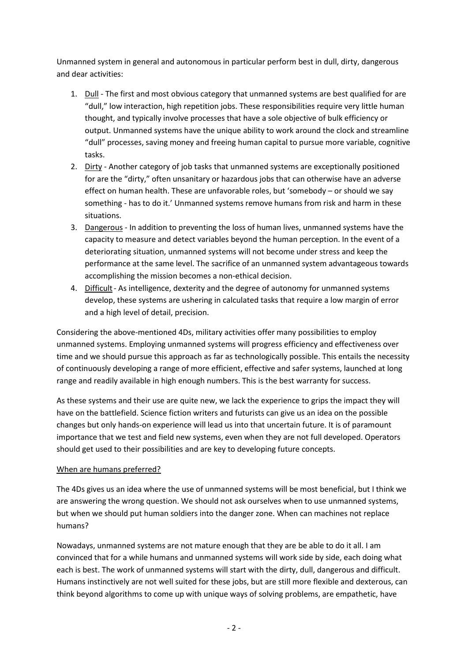Unmanned system in general and autonomous in particular perform best in dull, dirty, dangerous and dear activities:

- 1. Dull The first and most obvious category that unmanned systems are best qualified for are "dull," low interaction, high repetition jobs. These responsibilities require very little human thought, and typically involve processes that have a sole objective of bulk efficiency or output. Unmanned systems have the unique ability to work around the clock and streamline "dull" processes, saving money and freeing human capital to pursue more variable, cognitive tasks.
- 2. Dirty Another category of job tasks that unmanned systems are exceptionally positioned for are the "dirty," often unsanitary or hazardous jobs that can otherwise have an adverse effect on human health. These are unfavorable roles, but 'somebody – or should we say something - has to do it.' Unmanned systems remove humans from risk and harm in these situations.
- 3. Dangerous In addition to preventing the loss of human lives, unmanned systems have the capacity to measure and detect variables beyond the human perception. In the event of a deteriorating situation, unmanned systems will not become under stress and keep the performance at the same level. The sacrifice of an unmanned system advantageous towards accomplishing the mission becomes a non-ethical decision.
- 4. Difficult- As intelligence, dexterity and the degree of autonomy for unmanned systems develop, these systems are ushering in calculated tasks that require a low margin of error and a high level of detail, precision.

Considering the above-mentioned 4Ds, military activities offer many possibilities to employ unmanned systems. Employing unmanned systems will progress efficiency and effectiveness over time and we should pursue this approach as far as technologically possible. This entails the necessity of continuously developing a range of more efficient, effective and safer systems, launched at long range and readily available in high enough numbers. This is the best warranty for success.

As these systems and their use are quite new, we lack the experience to grips the impact they will have on the battlefield. Science fiction writers and futurists can give us an idea on the possible changes but only hands-on experience will lead us into that uncertain future. It is of paramount importance that we test and field new systems, even when they are not full developed. Operators should get used to their possibilities and are key to developing future concepts.

## When are humans preferred?

The 4Ds gives us an idea where the use of unmanned systems will be most beneficial, but I think we are answering the wrong question. We should not ask ourselves when to use unmanned systems, but when we should put human soldiers into the danger zone. When can machines not replace humans?

Nowadays, unmanned systems are not mature enough that they are be able to do it all. I am convinced that for a while humans and unmanned systems will work side by side, each doing what each is best. The work of unmanned systems will start with the dirty, dull, dangerous and difficult. Humans instinctively are not well suited for these jobs, but are still more flexible and dexterous, can think beyond algorithms to come up with unique ways of solving problems, are empathetic, have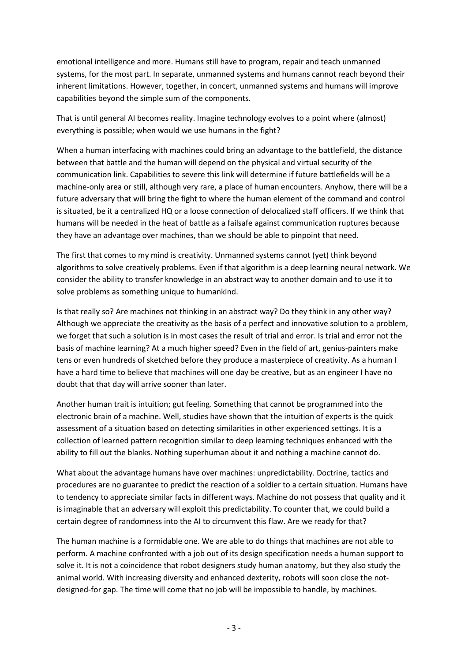emotional intelligence and more. Humans still have to program, repair and teach unmanned systems, for the most part. In separate, unmanned systems and humans cannot reach beyond their inherent limitations. However, together, in concert, unmanned systems and humans will improve capabilities beyond the simple sum of the components.

That is until general AI becomes reality. Imagine technology evolves to a point where (almost) everything is possible; when would we use humans in the fight?

When a human interfacing with machines could bring an advantage to the battlefield, the distance between that battle and the human will depend on the physical and virtual security of the communication link. Capabilities to severe this link will determine if future battlefields will be a machine-only area or still, although very rare, a place of human encounters. Anyhow, there will be a future adversary that will bring the fight to where the human element of the command and control is situated, be it a centralized HQ or a loose connection of delocalized staff officers. If we think that humans will be needed in the heat of battle as a failsafe against communication ruptures because they have an advantage over machines, than we should be able to pinpoint that need.

The first that comes to my mind is creativity. Unmanned systems cannot (yet) think beyond algorithms to solve creatively problems. Even if that algorithm is a deep learning neural network. We consider the ability to transfer knowledge in an abstract way to another domain and to use it to solve problems as something unique to humankind.

Is that really so? Are machines not thinking in an abstract way? Do they think in any other way? Although we appreciate the creativity as the basis of a perfect and innovative solution to a problem, we forget that such a solution is in most cases the result of trial and error. Is trial and error not the basis of machine learning? At a much higher speed? Even in the field of art, genius-painters make tens or even hundreds of sketched before they produce a masterpiece of creativity. As a human I have a hard time to believe that machines will one day be creative, but as an engineer I have no doubt that that day will arrive sooner than later.

Another human trait is intuition; gut feeling. Something that cannot be programmed into the electronic brain of a machine. Well, studies have shown that the intuition of experts is the quick assessment of a situation based on detecting similarities in other experienced settings. It is a collection of learned pattern recognition similar to deep learning techniques enhanced with the ability to fill out the blanks. Nothing superhuman about it and nothing a machine cannot do.

What about the advantage humans have over machines: unpredictability. Doctrine, tactics and procedures are no guarantee to predict the reaction of a soldier to a certain situation. Humans have to tendency to appreciate similar facts in different ways. Machine do not possess that quality and it is imaginable that an adversary will exploit this predictability. To counter that, we could build a certain degree of randomness into the AI to circumvent this flaw. Are we ready for that?

The human machine is a formidable one. We are able to do things that machines are not able to perform. A machine confronted with a job out of its design specification needs a human support to solve it. It is not a coincidence that robot designers study human anatomy, but they also study the animal world. With increasing diversity and enhanced dexterity, robots will soon close the notdesigned-for gap. The time will come that no job will be impossible to handle, by machines.